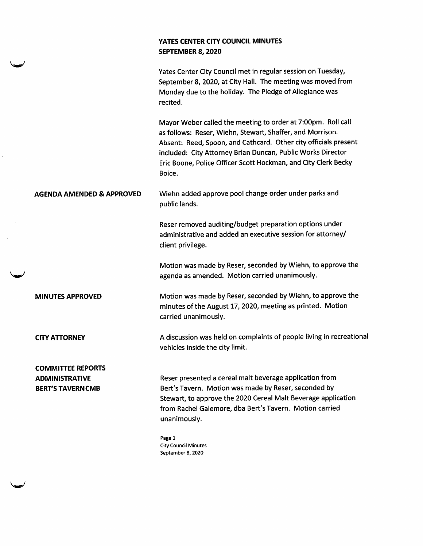## YATES CENTER CITY COUNCIL MINUTES SEPTEMBER 8, 2020

|                           | Yates Center City Council met in regular session on Tuesday,<br>September 8, 2020, at City Hall. The meeting was moved from<br>Monday due to the holiday. The Pledge of Allegiance was<br>recited.                                                                                                                                      |
|---------------------------|-----------------------------------------------------------------------------------------------------------------------------------------------------------------------------------------------------------------------------------------------------------------------------------------------------------------------------------------|
|                           | Mayor Weber called the meeting to order at 7:00pm. Roll call<br>as follows: Reser, Wiehn, Stewart, Shaffer, and Morrison.<br>Absent: Reed, Spoon, and Cathcard. Other city officials present<br>included: City Attorney Brian Duncan, Public Works Director<br>Eric Boone, Police Officer Scott Hockman, and City Clerk Becky<br>Boice. |
| AGENDA AMENDED & APPROVED | Wiehn added approve pool change order under parks and<br>public lands.                                                                                                                                                                                                                                                                  |
|                           | Reser removed auditing/budget preparation options under<br>administrative and added an executive session for attorney/<br>client privilege.                                                                                                                                                                                             |
|                           | Motion was made by Reser, seconded by Wiehn, to approve the<br>agenda as amended. Motion carried unanimously.                                                                                                                                                                                                                           |
| <b>MINUTES APPROVED</b>   | Motion was made by Reser, seconded by Wiehn, to approve the<br>minutes of the August 17, 2020, meeting as printed. Motion<br>carried unanimously.                                                                                                                                                                                       |
| <b>CITY ATTORNEY</b>      | A discussion was held on complaints of people living in recreational<br>vehicles inside the city limit.                                                                                                                                                                                                                                 |
| <b>COMMITTEE REPORTS</b>  |                                                                                                                                                                                                                                                                                                                                         |
| <b>ADMINISTRATIVE</b>     | Reser presented a cereal malt beverage application from                                                                                                                                                                                                                                                                                 |
| <b>BERT'S TAVERN CMB</b>  | Bert's Tavern. Motion was made by Reser, seconded by                                                                                                                                                                                                                                                                                    |
|                           | Stewart, to approve the 2020 Cereal Malt Beverage application                                                                                                                                                                                                                                                                           |
|                           | from Rachel Galemore, dba Bert's Tavern. Motion carried<br>unanimously.                                                                                                                                                                                                                                                                 |
|                           | Page 1<br><b>City Council Minutes</b>                                                                                                                                                                                                                                                                                                   |

 $\hat{\mathcal{L}}$ 

 $\overline{\phantom{a}}$ 

September 8, 2020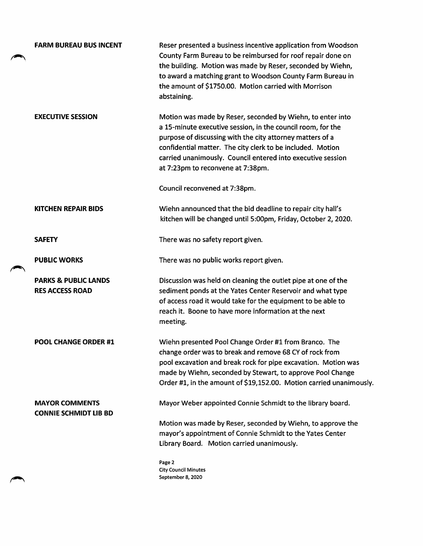|  | <b>FARM BUREAU BUS INCENT</b>                             | Reser presented a business incentive application from Woodson<br>County Farm Bureau to be reimbursed for roof repair done on<br>the building. Motion was made by Reser, seconded by Wiehn,<br>to award a matching grant to Woodson County Farm Bureau in<br>the amount of \$1750.00. Motion carried with Morrison<br>abstaining.                         |
|--|-----------------------------------------------------------|----------------------------------------------------------------------------------------------------------------------------------------------------------------------------------------------------------------------------------------------------------------------------------------------------------------------------------------------------------|
|  | <b>EXECUTIVE SESSION</b>                                  | Motion was made by Reser, seconded by Wiehn, to enter into<br>a 15-minute executive session, in the council room, for the<br>purpose of discussing with the city attorney matters of a<br>confidential matter. The city clerk to be included. Motion<br>carried unanimously. Council entered into executive session<br>at 7:23pm to reconvene at 7:38pm. |
|  |                                                           | Council reconvened at 7:38pm.                                                                                                                                                                                                                                                                                                                            |
|  | <b>KITCHEN REPAIR BIDS</b>                                | Wiehn announced that the bid deadline to repair city hall's<br>kitchen will be changed until 5:00pm, Friday, October 2, 2020.                                                                                                                                                                                                                            |
|  | <b>SAFETY</b>                                             | There was no safety report given.                                                                                                                                                                                                                                                                                                                        |
|  | <b>PUBLIC WORKS</b>                                       | There was no public works report given.                                                                                                                                                                                                                                                                                                                  |
|  | <b>PARKS &amp; PUBLIC LANDS</b><br><b>RES ACCESS ROAD</b> | Discussion was held on cleaning the outlet pipe at one of the<br>sediment ponds at the Yates Center Reservoir and what type<br>of access road it would take for the equipment to be able to<br>reach it. Boone to have more information at the next<br>meeting.                                                                                          |
|  | <b>POOL CHANGE ORDER #1</b>                               | Wiehn presented Pool Change Order #1 from Branco. The<br>change order was to break and remove 68 CY of rock from<br>pool excavation and break rock for pipe excavation. Motion was<br>made by Wiehn, seconded by Stewart, to approve Pool Change<br>Order #1, in the amount of \$19,152.00. Motion carried unanimously.                                  |
|  | <b>MAYOR COMMENTS</b><br><b>CONNIE SCHMIDT LIB BD</b>     | Mayor Weber appointed Connie Schmidt to the library board.                                                                                                                                                                                                                                                                                               |
|  |                                                           | Motion was made by Reser, seconded by Wiehn, to approve the<br>mayor's appointment of Connie Schmidt to the Yates Center<br>Library Board. Motion carried unanimously.                                                                                                                                                                                   |
|  |                                                           | Page 2                                                                                                                                                                                                                                                                                                                                                   |

City Council Minutes September 8,2020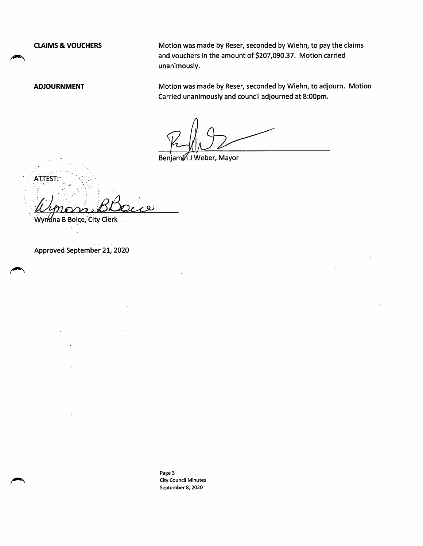CLAIMS & VOUCHERS Motion was made by Reser, seconded by Wiehn, to pay the claims and vouchers in the amount of \$207,090.37. Motion carried unanimously.

ADJOURNMENT Motion was made by Reser, seconded by Wiehn, to adjourn. Motion Carried unanimously and council adjourned at 8:00pm.

Benjamin J Weber, Mayor

**ATTEST:** 

WynWna B Boice, City Clerk

Approved September 21, 2020

Page 3 City Council Minutes September 8, 2020